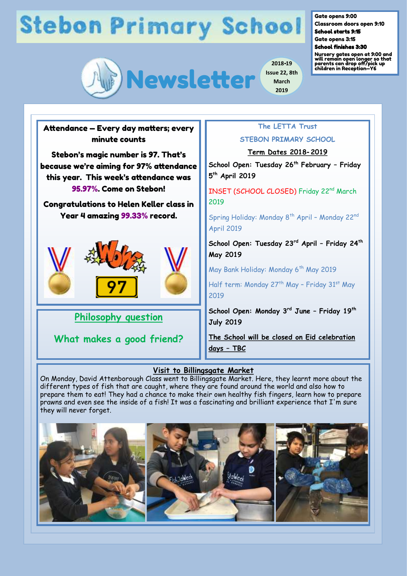# **Stebon Primary School**



Gate opens 9:00

Classroom doors open 9:10 School starts 9:15

Gate opens 3:15

School finishes 3:30

**March 2019**

Nursery gates open at 9:00 and will remain open longer so that parents can drop off/pick up children in Reception—Y6



#### **Visit to Billingsgate Market**

On Monday, David Attenborough Class went to Billingsgate Market. Here, they learnt more about the different types of fish that are caught, where they are found around the world and also how to prepare them to eat! They had a chance to make their own healthy fish fingers, learn how to prepare prawns and even see the inside of a fish! It was a fascinating and brilliant experience that I'm sure they will never forget.